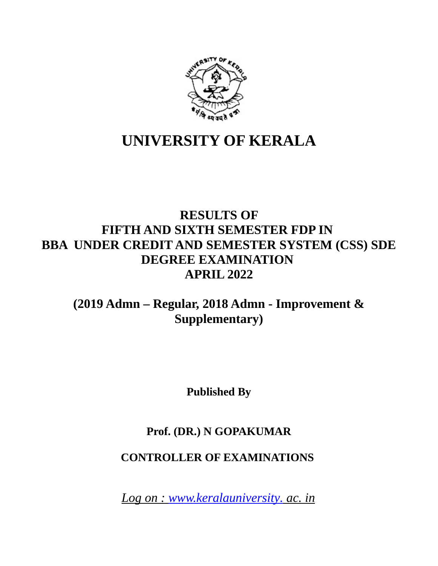

# **UNIVERSITY OF KERALA**

# **RESULTS OF FIFTH AND SIXTH SEMESTER FDP IN BBA UNDER CREDIT AND SEMESTER SYSTEM (CSS) SDE DEGREE EXAMINATION APRIL 2022**

# **(2019 Admn – Regular, 2018 Admn - Improvement & Supplementary)**

**Published By**

## **Prof. (DR.) N GOPAKUMAR**

## **CONTROLLER OF EXAMINATIONS**

 *Log on : [www.keralauniversity.](http://www.keralauniversity/) ac. in*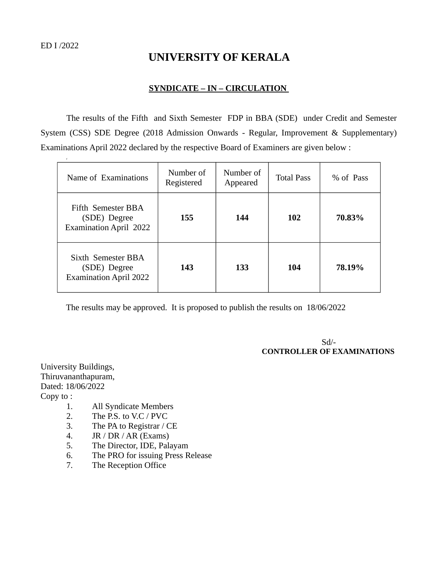## **UNIVERSITY OF KERALA**

#### **SYNDICATE – IN – CIRCULATION**

The results of the Fifth and Sixth Semester FDP in BBA (SDE) under Credit and Semester System (CSS) SDE Degree (2018 Admission Onwards - Regular, Improvement & Supplementary) Examinations April 2022 declared by the respective Board of Examiners are given below :

| $\Gamma$                                                            |                         |                       |                   |           |
|---------------------------------------------------------------------|-------------------------|-----------------------|-------------------|-----------|
| Name of Examinations                                                | Number of<br>Registered | Number of<br>Appeared | <b>Total Pass</b> | % of Pass |
| Fifth Semester BBA<br>(SDE) Degree<br><b>Examination April 2022</b> | 155                     | 144                   | <b>102</b>        | 70.83%    |
| Sixth Semester BBA<br>(SDE) Degree<br><b>Examination April 2022</b> | 143                     | 133                   | 104               | 78.19%    |

The results may be approved. It is proposed to publish the results on 18/06/2022

 Sd/-  **CONTROLLER OF EXAMINATIONS** 

University Buildings, Thiruvananthapuram, Dated: 18/06/2022 Copy to :

- 1. All Syndicate Members
- 2. The P.S. to V.C / PVC
- 3. The PA to Registrar / CE
- 4. JR / DR / AR (Exams)
- 5. The Director, IDE, Palayam
- 6. The PRO for issuing Press Release
- 7. The Reception Office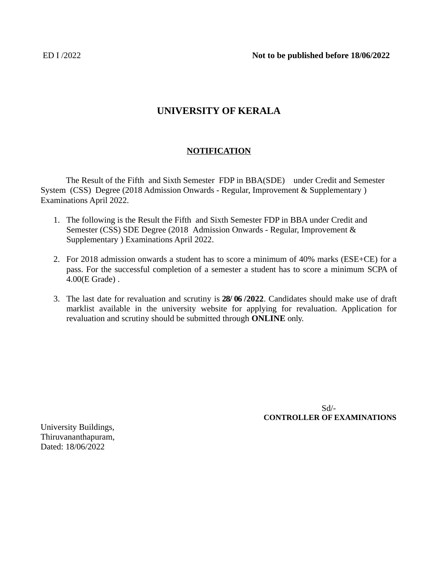ED I /2022 **Not to be published before 18/06/2022**

### **UNIVERSITY OF KERALA**

#### **NOTIFICATION**

The Result of the Fifth and Sixth Semester FDP in BBA(SDE) under Credit and Semester System (CSS) Degree (2018 Admission Onwards - Regular, Improvement & Supplementary ) Examinations April 2022.

- 1. The following is the Result the Fifth and Sixth Semester FDP in BBA under Credit and Semester (CSS) SDE Degree (2018 Admission Onwards - Regular, Improvement & Supplementary ) Examinations April 2022.
- 2. For 2018 admission onwards a student has to score a minimum of 40% marks (ESE+CE) for a pass. For the successful completion of a semester a student has to score a minimum SCPA of 4.00(E Grade) .
- 3. The last date for revaluation and scrutiny is **28/ 06 /2022**. Candidates should make use of draft marklist available in the university website for applying for revaluation. Application for revaluation and scrutiny should be submitted through **ONLINE** only.

 Sd/-  **CONTROLLER OF EXAMINATIONS**

University Buildings, Thiruvananthapuram, Dated: 18/06/2022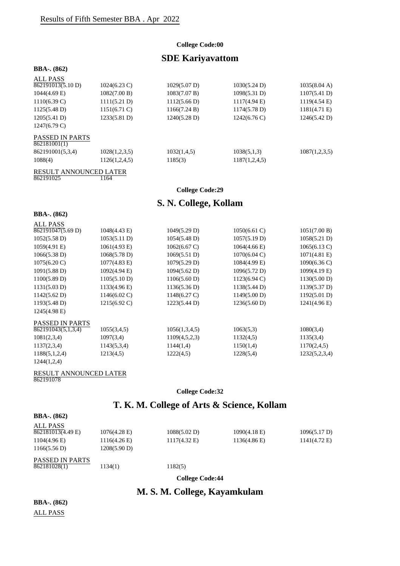#### **College Code:00**

### **SDE Kariyavattom**

#### **BBA-. (862)**

| ALL PASS                        |                        |                        |                        |                        |
|---------------------------------|------------------------|------------------------|------------------------|------------------------|
| 862191013(5.10 D)               | $1024(6.23 \text{ C})$ | $1029(5.07 \text{ D})$ | 1030(5.24 D)           | 1035(8.04 A)           |
| $1044(4.69 \text{ E})$          | 1082(7.00 B)           | 1083(7.07 B)           | 1098(5.31 D)           | 1107(5.41 D)           |
| $1110(6.39 \text{ C})$          | 1111(5.21 D)           | 1112(5.66 D)           | $1117(4.94 \text{ E})$ | $1119(4.54 \text{ E})$ |
| 1125(5.48 D)                    | $1151(6.71)$ C)        | 1166(7.24 B)           | 1174(5.78 D)           | 1181(4.71 E)           |
| 1205(5.41 D)                    | 1233(5.81 D)           | 1240(5.28 D)           | $1242(6.76 \text{ C})$ | 1246(5.42 D)           |
| $1247(6.79 \text{ C})$          |                        |                        |                        |                        |
| PASSED IN PARTS<br>862181001(1) |                        |                        |                        |                        |
| 862191001(5,3,4)                | 1028(1,2,3,5)          | 1032(1,4,5)            | 1038(5,1,3)            | 1087(1,2,3,5)          |
| 1088(4)                         | 1126(1,2,4,5)          | 1185(3)                | 1187(1,2,4,5)          |                        |

#### RESULT ANNOUNCED LATER 862191025 1164

#### **College Code:29**

### **S. N. College, Kollam**

#### **BBA-. (862)**

| ALL PASS               |                        |                        |                        |                        |
|------------------------|------------------------|------------------------|------------------------|------------------------|
| 862191047(5.69 D)      | $1048(4.43 \text{ E})$ | 1049(5.29 D)           | $1050(6.61)$ C)        | 1051(7.00 B)           |
| $1052(5.58 \text{ D})$ | 1053(5.11 D)           | $1054(5.48 \text{ D})$ | 1057(5.19 D)           | 1058(5.21 D)           |
| 1059(4.91 E)           | 1061(4.93 E)           | $1062(6.67 \text{ C})$ | $1064(4.66 \text{ E})$ | 1065(6.13 C)           |
| 1066(5.38 D)           | 1068(5.78 D)           | 1069(5.51 D)           | $1070(6.04 \text{ C})$ | $1071(4.81)$ E)        |
| $1075(6.20 \text{ C})$ | $1077(4.83 \text{ E})$ | 1079(5.29 D)           | 1084(4.99 E)           | $1090(6.36 \text{ C})$ |
| $1091(5.88 \text{ D})$ | 1092(4.94 E)           | 1094(5.62 D)           | 1096(5.72 D)           | $1099(4.19 \text{ E})$ |
| 1100(5.89 D)           | 1105(5.10 D)           | 1106(5.60 D)           | $1123(6.94 \text{ C})$ | 1130(5.00 D)           |
| 1131(5.03 D)           | 1133(4.96 E)           | 1136(5.36 D)           | 1138(5.44 D)           | 1139(5.37 D)           |
| $1142(5.62 \text{ D})$ | $1146(6.02 \text{ C})$ | $1148(6.27 \text{ C})$ | 1149(5.00 D)           | 1192(5.01 D)           |
| 1193(5.48 D)           | $1215(6.92 \text{ C})$ | 1223(5.44 D)           | 1236(5.60 D)           | $1241(4.96 \text{ E})$ |
| $1245(4.98 \text{ E})$ |                        |                        |                        |                        |
| <b>PASSED IN PARTS</b> |                        |                        |                        |                        |
| 862191043(5,1,3,4)     | 1055(3,4,5)            | 1056(1,3,4,5)          | 1063(5,3)              | 1080(3,4)              |
| 1081(2,3,4)            | 1097(3,4)              | 1109(4,5,2,3)          | 1132(4,5)              | 1135(3,4)              |
| 1137(2,3,4)            | 1143(5,3,4)            | 1144(1,4)              | 1150(1,4)              | 1170(2,4,5)            |
| 1188(5,1,2,4)          | 1213(4,5)              | 1222(4,5)              | 1228(5,4)              | 1232(5,2,3,4)          |
| 1244(1,2,4)            |                        |                        |                        |                        |

#### RESULT ANNOUNCED LATER 862191078

### **College Code:32**

### **T. K. M. College of Arts & Science, Kollam**

| <b>BBA-.</b> $(862)$          |                        |                 |                        |                        |
|-------------------------------|------------------------|-----------------|------------------------|------------------------|
| ALL PASS<br>862181013(4.49 E) | $1076(4.28 \text{ E})$ | 1088(5.02 D)    | $1090(4.18 \text{ E})$ | 1096(5.17 D)           |
| $1104(4.96)$ E)               | $1116(4.26 \text{ E})$ | $1117(4.32)$ E) | 1136(4.86)             | $1141(4.72 \text{ E})$ |
| 1166(5.56 D)                  | 1208(5.90 D)           |                 |                        |                        |
| <b>PASSED IN PARTS</b>        |                        |                 |                        |                        |
| 862181028(1)                  | 1134(1)                | 1182(5)         |                        |                        |

**College Code:44**

### **M. S. M. College, Kayamkulam**

**BBA-. (862)**

ALL PASS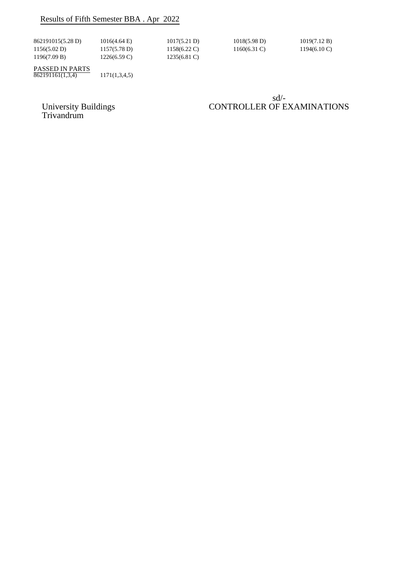### Results of Fifth Semester BBA . Apr 2022

| 862191015(5.28 D) | 1016(4.64 E) | 1017(5.21 D)           | $1018(5.98 \text{ D})$ | 1019(7.12 B)           |
|-------------------|--------------|------------------------|------------------------|------------------------|
| 1156(5.02 D)      | 1157(5.78 D) | $1158(6.22 \text{ C})$ | $1160(6.31)$ C)        | $1194(6.10 \text{ C})$ |
| 1196(7.09 B)      | 1226(6.59 C) | $1235(6.81 \text{ C})$ |                        |                        |

PASSED IN PARTS  $862191161(1,3,4)$  1171(1,3,4,5)

sd/- University Buildings CONTROLLER OF EXAMINATIONS

University Buildings<br>Trivandrum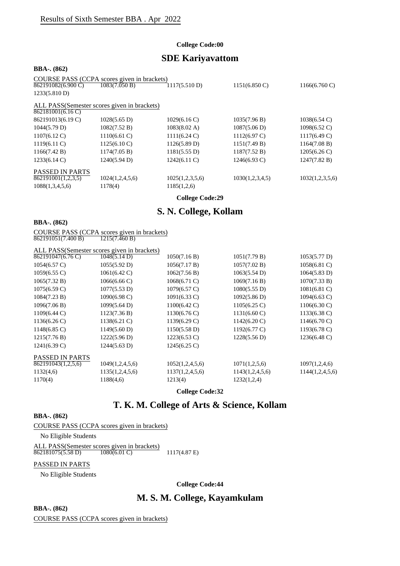#### **College Code:00**

### **SDE Kariyavattom**

#### **BBA-. (862)**

|                        | COURSE PASS (CCPA scores given in brackets) |                        |                         |                         |
|------------------------|---------------------------------------------|------------------------|-------------------------|-------------------------|
| 862191082(6.900 C)     | 1083(7.050 B)                               | 1117(5.510 D)          | $1151(6.850 \text{ C})$ | $1166(6.760 \text{ C})$ |
| 1233(5.810 D)          |                                             |                        |                         |                         |
|                        | ALL PASS(Semester scores given in brackets) |                        |                         |                         |
| 862181001(6.16 C)      |                                             |                        |                         |                         |
| 862191013(6.19 C)      | $1028(5.65 \text{ D})$                      | $1029(6.16 \text{ C})$ | 1035(7.96 B)            | $1038(6.54 \text{ C})$  |
| 1044(5.79 D)           | 1082(7.52 B)                                | $1083(8.02 \text{ A})$ | 1087(5.06 D)            | $1098(6.52 \text{ C})$  |
| $1107(6.12 \text{ C})$ | $1110(6.61)$ C)                             | 1111(6.24)             | $1112(6.97 \text{ C})$  | $1117(6.49 \text{ C})$  |
| $1119(6.11)$ C)        | $1125(6.10 \text{ C})$                      | 1126(5.89 D)           | 1151(7.49 B)            | 1164(7.08 B)            |
| 1166(7.42 B)           | 1174(7.05 B)                                | 1181(5.55 D)           | 1187(7.52 B)            | $1205(6.26 \text{ C})$  |
| $1233(6.14 \text{ C})$ | 1240(5.94 D)                                | $1242(6.11)$ C)        | $1246(6.93)$ C)         | 1247(7.82 B)            |
| <b>PASSED IN PARTS</b> |                                             |                        |                         |                         |
| 862191001(1,2,3,5)     | 1024(1,2,4,5,6)                             | 1025(1,2,3,5,6)        | 1030(1,2,3,4,5)         | 1032(1,2,3,5,6)         |
| 1088(1,3,4,5,6)        | 1178(4)                                     | 1185(1,2,6)            |                         |                         |
|                        |                                             |                        |                         |                         |

**College Code:29**

### **S. N. College, Kollam**

#### **BBA-. (862)**

COURSE PASS (CCPA scores given in brackets) 862191051(7.400 B) 1215(7.460 B)

|                        | ALL PASS(Semester scores given in brackets) |                        |                        |                        |
|------------------------|---------------------------------------------|------------------------|------------------------|------------------------|
| 862191047(6.76 C)      | 1048(5.14 D)                                | 1050(7.16 B)           | 1051(7.79 B)           | 1053(5.77 D)           |
| $1054(6.57 \text{ C})$ | 1055(5.92 D)                                | 1056(7.17 B)           | 1057(7.02 B)           | $1058(6.81)$ C)        |
| $1059(6.55 \text{ C})$ | $1061(6.42 \text{ C})$                      | 1062(7.56 B)           | 1063(5.54 D)           | 1064(5.83 D)           |
| 1065(7.32 B)           | $1066(6.66 \text{ C})$                      | $1068(6.71)$ C)        | 1069(7.16 B)           | 1070(7.33 B)           |
| $1075(6.59 \text{ C})$ | 1077(5.53 D)                                | $1079(6.57 \text{ C})$ | 1080(5.55 D)           | $1081(6.81)$ C)        |
| 1084(7.23 B)           | $1090(6.98 \text{ C})$                      | $1091(6.33 \text{ C})$ | 1092(5.86 D)           | $1094(6.63 \text{ C})$ |
| 1096(7.06 B)           | 1099(5.64 D)                                | $1100(6.42 \text{ C})$ | $1105(6.25 \text{ C})$ | $1106(6.30 \text{ C})$ |
| 1109(6.44 C)           | 1123(7.36 B)                                | $1130(6.76 \text{ C})$ | $1131(6.60 \text{ C})$ | $1133(6.38 \text{ C})$ |
| $1136(6.26 \text{ C})$ | $1138(6.21)$ C)                             | $1139(6.29 \text{ C})$ | $1142(6.20 \text{ C})$ | $1146(6.70 \text{ C})$ |
| $1148(6.85 \text{ C})$ | 1149(5.60 D)                                | 1150(5.58 D)           | $1192(6.77 \text{ C})$ | $1193(6.78 \text{ C})$ |
| 1215(7.76 B)           | 1222(5.96 D)                                | $1223(6.53 \text{ C})$ | 1228(5.56 D)           | 1236(6.48 C)           |
| $1241(6.39 \text{ C})$ | $1244(5.63 \text{ D})$                      | $1245(6.25 \text{ C})$ |                        |                        |
| <b>PASSED IN PARTS</b> |                                             |                        |                        |                        |
| 862191043(1,2,5,6)     | 1049(1,2,4,5,6)                             | 1052(1,2,4,5,6)        | 1071(1,2,5,6)          | 1097(1,2,4,6)          |
| 1132(4,6)              | 1135(1,2,4,5,6)                             | 1137(1,2,4,5,6)        | 1143(1,2,4,5,6)        | 1144(1,2,4,5,6)        |
| 1170(4)                | 1188(4,6)                                   | 1213(4)                | 1232(1,2,4)            |                        |
|                        |                                             |                        |                        |                        |

**College Code:32**

### **T. K. M. College of Arts & Science, Kollam**

#### **BBA-. (862)**

COURSE PASS (CCPA scores given in brackets)

No Eligible Students

ALL PASS(Semester scores given in brackets)<br>862181075(5.58 D) 1080(6.01 C)  $\frac{862181075(5.58 \text{ D})}{1080(6.01 \text{ C})}$  1117(4.87 E)

#### PASSED IN PARTS

No Eligible Students

**College Code:44**

### **M. S. M. College, Kayamkulam**

**BBA-. (862)** COURSE PASS (CCPA scores given in brackets)